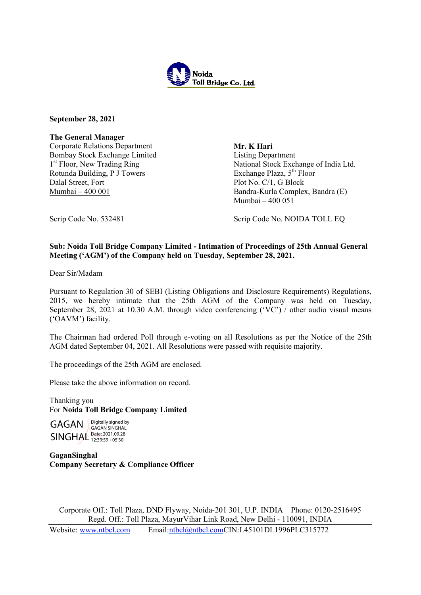

September 28, 2021

The General Manager

Corporate Relations Department Bombay Stock Exchange Limited 1<sup>st</sup> Floor, New Trading Ring Rotunda Building, P J Towers Dalal Street, Fort Mumbai – 400 001

Mr. K Hari Listing Department National Stock Exchange of India Ltd. Exchange Plaza, 5<sup>th</sup> Floor Plot No. C/1, G Block Bandra-Kurla Complex, Bandra (E) Mumbai – 400 051

Scrip Code No. 532481 Scrip Code No. NOIDA TOLL EQ

## Sub: Noida Toll Bridge Company Limited - Intimation of Proceedings of 25th Annual General Meeting ('AGM') of the Company held on Tuesday, September 28, 2021.

Dear Sir/Madam

Pursuant to Regulation 30 of SEBI (Listing Obligations and Disclosure Requirements) Regulations, 2015, we hereby intimate that the 25th AGM of the Company was held on Tuesday, September 28, 2021 at 10.30 A.M. through video conferencing ('VC') / other audio visual means ('OAVM') facility.

The Chairman had ordered Poll through e-voting on all Resolutions as per the Notice of the 25th AGM dated September 04, 2021. All Resolutions were passed with requisite majority.

The proceedings of the 25th AGM are enclosed.

Please take the above information on record.

Thanking you For Noida Toll Bridge Company Limited

GAGAN **Digitally signed by** SINGHAL Date: 2021.09.28 GAGAN SINGHAL 12:39:59 +05'30'

GaganSinghal Company Secretary & Compliance Officer

Corporate Off.: Toll Plaza, DND Flyway, Noida-201 301, U.P. INDIA Phone: 0120-2516495 Regd. Off.: Toll Plaza, MayurVihar Link Road, New Delhi - 110091, INDIA

Website: www.ntbcl.com Email:ntbcl@ntbcl.comCIN:L45101DL1996PLC315772